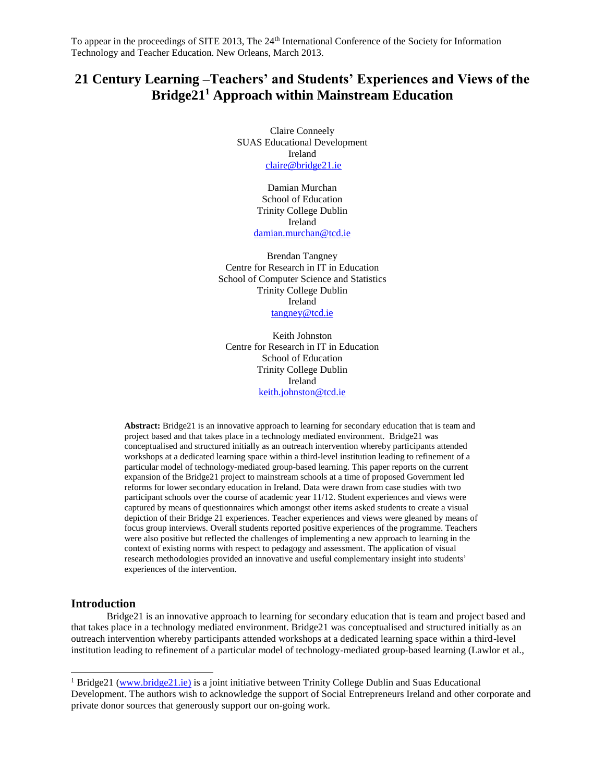# **21 Century Learning –Teachers' and Students' Experiences and Views of the Bridge21<sup>1</sup> Approach within Mainstream Education**

Claire Conneely SUAS Educational Development Ireland [claire@bridge21.ie](mailto:claire@bridge21.ie)

> Damian Murchan School of Education Trinity College Dublin Ireland [damian.murchan@tcd.ie](mailto:damian.murchan@tcd.ie)

Brendan Tangney Centre for Research in IT in Education School of Computer Science and Statistics Trinity College Dublin Ireland [tangney@tcd.ie](mailto:tangney@tcd.ie)

Keith Johnston Centre for Research in IT in Education School of Education Trinity College Dublin Ireland [keith.johnston@tcd.ie](mailto:keith.johnston@tcd.ie)

**Abstract:** Bridge21 is an innovative approach to learning for secondary education that is team and project based and that takes place in a technology mediated environment. Bridge21 was conceptualised and structured initially as an outreach intervention whereby participants attended workshops at a dedicated learning space within a third-level institution leading to refinement of a particular model of technology-mediated group-based learning. This paper reports on the current expansion of the Bridge21 project to mainstream schools at a time of proposed Government led reforms for lower secondary education in Ireland. Data were drawn from case studies with two participant schools over the course of academic year 11/12. Student experiences and views were captured by means of questionnaires which amongst other items asked students to create a visual depiction of their Bridge 21 experiences. Teacher experiences and views were gleaned by means of focus group interviews. Overall students reported positive experiences of the programme. Teachers were also positive but reflected the challenges of implementing a new approach to learning in the context of existing norms with respect to pedagogy and assessment. The application of visual research methodologies provided an innovative and useful complementary insight into students' experiences of the intervention.

# **Introduction**

l

Bridge21 is an innovative approach to learning for secondary education that is team and project based and that takes place in a technology mediated environment. Bridge21 was conceptualised and structured initially as an outreach intervention whereby participants attended workshops at a dedicated learning space within a third-level institution leading to refinement of a particular model of technology-mediated group-based learning (Lawlor et al.,

<sup>1</sup> Bridge21 [\(www.bridge21.ie\)](file:///C:/Users/Claire%20Connely/Documents/Research/KevinMarshallBookChapter-July2011/Revised%20Version%202013/www.bridge21.ie) is a joint initiative between Trinity College Dublin and Suas Educational Development. The authors wish to acknowledge the support of Social Entrepreneurs Ireland and other corporate and private donor sources that generously support our on-going work.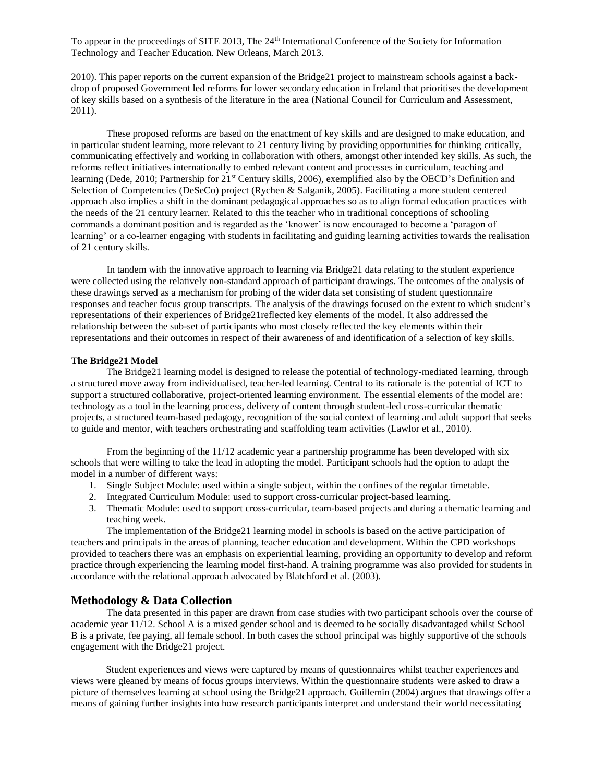2010). This paper reports on the current expansion of the Bridge21 project to mainstream schools against a backdrop of proposed Government led reforms for lower secondary education in Ireland that prioritises the development of key skills based on a synthesis of the literature in the area (National Council for Curriculum and Assessment, 2011).

These proposed reforms are based on the enactment of key skills and are designed to make education, and in particular student learning, more relevant to 21 century living by providing opportunities for thinking critically, communicating effectively and working in collaboration with others, amongst other intended key skills. As such, the reforms reflect initiatives internationally to embed relevant content and processes in curriculum, teaching and learning (Dede, 2010; Partnership for 21<sup>st</sup> Century skills, 2006), exemplified also by the OECD's Definition and Selection of Competencies (DeSeCo) project (Rychen & Salganik, 2005). Facilitating a more student centered approach also implies a shift in the dominant pedagogical approaches so as to align formal education practices with the needs of the 21 century learner. Related to this the teacher who in traditional conceptions of schooling commands a dominant position and is regarded as the 'knower' is now encouraged to become a 'paragon of learning' or a co-learner engaging with students in facilitating and guiding learning activities towards the realisation of 21 century skills.

In tandem with the innovative approach to learning via Bridge21 data relating to the student experience were collected using the relatively non-standard approach of participant drawings. The outcomes of the analysis of these drawings served as a mechanism for probing of the wider data set consisting of student questionnaire responses and teacher focus group transcripts. The analysis of the drawings focused on the extent to which student's representations of their experiences of Bridge21reflected key elements of the model. It also addressed the relationship between the sub-set of participants who most closely reflected the key elements within their representations and their outcomes in respect of their awareness of and identification of a selection of key skills.

# **The Bridge21 Model**

The Bridge21 learning model is designed to release the potential of technology-mediated learning, through a structured move away from individualised, teacher-led learning. Central to its rationale is the potential of ICT to support a structured collaborative, project-oriented learning environment. The essential elements of the model are: technology as a tool in the learning process, delivery of content through student-led cross-curricular thematic projects, a structured team-based pedagogy, recognition of the social context of learning and adult support that seeks to guide and mentor, with teachers orchestrating and scaffolding team activities (Lawlor et al., 2010).

From the beginning of the 11/12 academic year a partnership programme has been developed with six schools that were willing to take the lead in adopting the model. Participant schools had the option to adapt the model in a number of different ways:

- 1. Single Subject Module: used within a single subject, within the confines of the regular timetable.
- 2. Integrated Curriculum Module: used to support cross-curricular project-based learning.
- 3. Thematic Module: used to support cross-curricular, team-based projects and during a thematic learning and teaching week.

The implementation of the Bridge21 learning model in schools is based on the active participation of teachers and principals in the areas of planning, teacher education and development. Within the CPD workshops provided to teachers there was an emphasis on experiential learning, providing an opportunity to develop and reform practice through experiencing the learning model first-hand. A training programme was also provided for students in accordance with the relational approach advocated by Blatchford et al. (2003).

# **Methodology & Data Collection**

The data presented in this paper are drawn from case studies with two participant schools over the course of academic year 11/12. School A is a mixed gender school and is deemed to be socially disadvantaged whilst School B is a private, fee paying, all female school. In both cases the school principal was highly supportive of the schools engagement with the Bridge21 project.

Student experiences and views were captured by means of questionnaires whilst teacher experiences and views were gleaned by means of focus groups interviews. Within the questionnaire students were asked to draw a picture of themselves learning at school using the Bridge21 approach. Guillemin (2004) argues that drawings offer a means of gaining further insights into how research participants interpret and understand their world necessitating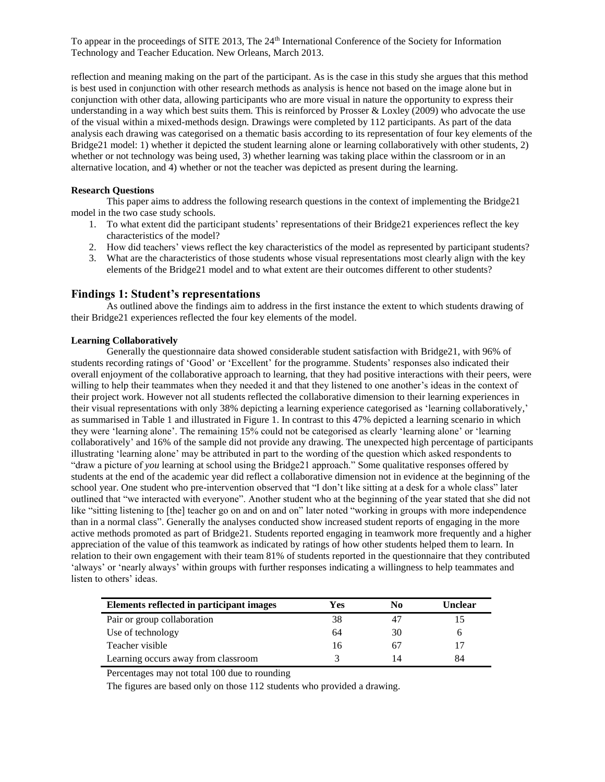reflection and meaning making on the part of the participant. As is the case in this study she argues that this method is best used in conjunction with other research methods as analysis is hence not based on the image alone but in conjunction with other data, allowing participants who are more visual in nature the opportunity to express their understanding in a way which best suits them. This is reinforced by Prosser & Loxley (2009) who advocate the use of the visual within a mixed-methods design. Drawings were completed by 112 participants. As part of the data analysis each drawing was categorised on a thematic basis according to its representation of four key elements of the Bridge21 model: 1) whether it depicted the student learning alone or learning collaboratively with other students, 2) whether or not technology was being used, 3) whether learning was taking place within the classroom or in an alternative location, and 4) whether or not the teacher was depicted as present during the learning.

# **Research Questions**

This paper aims to address the following research questions in the context of implementing the Bridge21 model in the two case study schools.

- 1. To what extent did the participant students' representations of their Bridge21 experiences reflect the key characteristics of the model?
- 2. How did teachers' views reflect the key characteristics of the model as represented by participant students?
- 3. What are the characteristics of those students whose visual representations most clearly align with the key elements of the Bridge21 model and to what extent are their outcomes different to other students?

# **Findings 1: Student's representations**

As outlined above the findings aim to address in the first instance the extent to which students drawing of their Bridge21 experiences reflected the four key elements of the model.

# **Learning Collaboratively**

Generally the questionnaire data showed considerable student satisfaction with Bridge21, with 96% of students recording ratings of 'Good' or 'Excellent' for the programme. Students' responses also indicated their overall enjoyment of the collaborative approach to learning, that they had positive interactions with their peers, were willing to help their teammates when they needed it and that they listened to one another's ideas in the context of their project work. However not all students reflected the collaborative dimension to their learning experiences in their visual representations with only 38% depicting a learning experience categorised as 'learning collaboratively,' as summarised in Table 1 and illustrated in Figure 1. In contrast to this 47% depicted a learning scenario in which they were 'learning alone'. The remaining 15% could not be categorised as clearly 'learning alone' or 'learning collaboratively' and 16% of the sample did not provide any drawing. The unexpected high percentage of participants illustrating 'learning alone' may be attributed in part to the wording of the question which asked respondents to "draw a picture of *you* learning at school using the Bridge21 approach." Some qualitative responses offered by students at the end of the academic year did reflect a collaborative dimension not in evidence at the beginning of the school year. One student who pre-intervention observed that "I don't like sitting at a desk for a whole class" later outlined that "we interacted with everyone". Another student who at the beginning of the year stated that she did not like "sitting listening to [the] teacher go on and on and on" later noted "working in groups with more independence than in a normal class". Generally the analyses conducted show increased student reports of engaging in the more active methods promoted as part of Bridge21. Students reported engaging in teamwork more frequently and a higher appreciation of the value of this teamwork as indicated by ratings of how other students helped them to learn. In relation to their own engagement with their team 81% of students reported in the questionnaire that they contributed 'always' or 'nearly always' within groups with further responses indicating a willingness to help teammates and listen to others' ideas.

| Elements reflected in participant images | Yes | No | Unclear |
|------------------------------------------|-----|----|---------|
| Pair or group collaboration              | 38  | 47 |         |
| Use of technology                        | 64  | 30 |         |
| Teacher visible                          | 16  | 67 | 17      |
| Learning occurs away from classroom      |     | 14 | 84      |

Percentages may not total 100 due to rounding

The figures are based only on those 112 students who provided a drawing.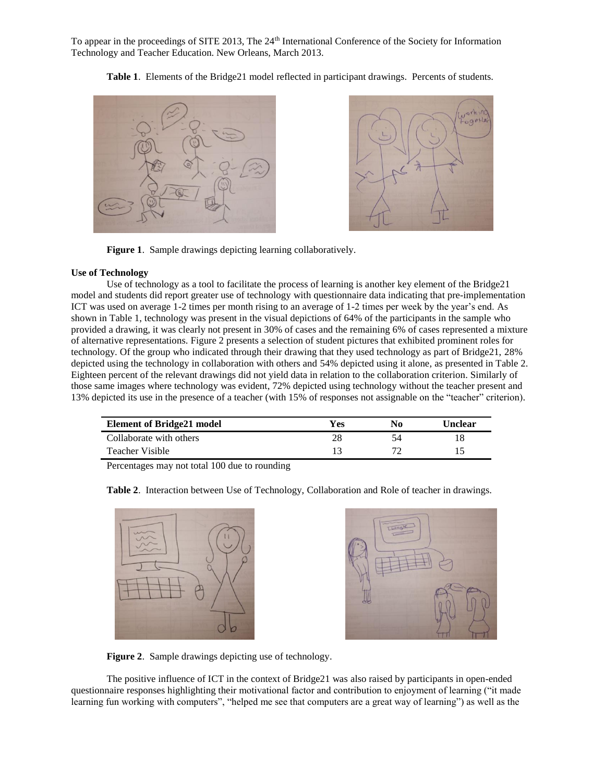**Table 1**. Elements of the Bridge21 model reflected in participant drawings. Percents of students.





**Figure 1**. Sample drawings depicting learning collaboratively.

# **Use of Technology**

Use of technology as a tool to facilitate the process of learning is another key element of the Bridge21 model and students did report greater use of technology with questionnaire data indicating that pre-implementation ICT was used on average 1-2 times per month rising to an average of 1-2 times per week by the year's end. As shown in Table 1, technology was present in the visual depictions of 64% of the participants in the sample who provided a drawing, it was clearly not present in 30% of cases and the remaining 6% of cases represented a mixture of alternative representations. Figure 2 presents a selection of student pictures that exhibited prominent roles for technology. Of the group who indicated through their drawing that they used technology as part of Bridge21, 28% depicted using the technology in collaboration with others and 54% depicted using it alone, as presented in Table 2. Eighteen percent of the relevant drawings did not yield data in relation to the collaboration criterion. Similarly of those same images where technology was evident, 72% depicted using technology without the teacher present and 13% depicted its use in the presence of a teacher (with 15% of responses not assignable on the "teacher" criterion).

| <b>Element of Bridge21 model</b> | Yes | No | Unclear |
|----------------------------------|-----|----|---------|
| Collaborate with others          |     |    |         |
| Teacher Visible                  |     |    |         |

Percentages may not total 100 due to rounding



**Table 2**. Interaction between Use of Technology, Collaboration and Role of teacher in drawings.



**Figure 2**. Sample drawings depicting use of technology.

The positive influence of ICT in the context of Bridge21 was also raised by participants in open-ended questionnaire responses highlighting their motivational factor and contribution to enjoyment of learning ("it made learning fun working with computers", "helped me see that computers are a great way of learning") as well as the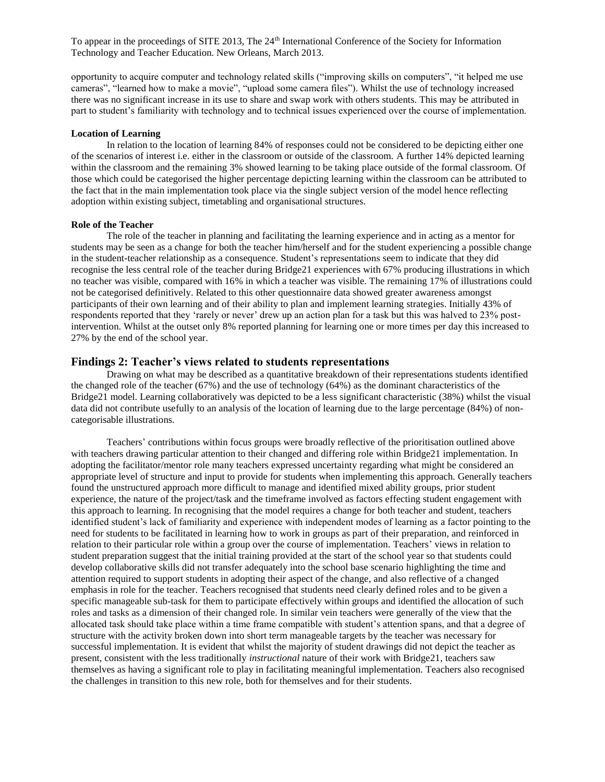opportunity to acquire computer and technology related skills ("improving skills on computers", "it helped me use cameras", "learned how to make a movie", "upload some camera files"). Whilst the use of technology increased there was no significant increase in its use to share and swap work with others students. This may be attributed in part to student's familiarity with technology and to technical issues experienced over the course of implementation.

#### **Location of Learning**

In relation to the location of learning 84% of responses could not be considered to be depicting either one of the scenarios of interest i.e. either in the classroom or outside of the classroom. A further 14% depicted learning within the classroom and the remaining 3% showed learning to be taking place outside of the formal classroom. Of those which could be categorised the higher percentage depicting learning within the classroom can be attributed to the fact that in the main implementation took place via the single subject version of the model hence reflecting adoption within existing subject, timetabling and organisational structures.

#### **Role of the Teacher**

The role of the teacher in planning and facilitating the learning experience and in acting as a mentor for students may be seen as a change for both the teacher him/herself and for the student experiencing a possible change in the student-teacher relationship as a consequence. Student's representations seem to indicate that they did recognise the less central role of the teacher during Bridge21 experiences with 67% producing illustrations in which no teacher was visible, compared with 16% in which a teacher was visible. The remaining 17% of illustrations could not be categorised definitively. Related to this other questionnaire data showed greater awareness amongst participants of their own learning and of their ability to plan and implement learning strategies. Initially 43% of respondents reported that they 'rarely or never' drew up an action plan for a task but this was halved to 23% postintervention. Whilst at the outset only 8% reported planning for learning one or more times per day this increased to 27% by the end of the school year.

# **Findings 2: Teacher's views related to students representations**

Drawing on what may be described as a quantitative breakdown of their representations students identified the changed role of the teacher (67%) and the use of technology (64%) as the dominant characteristics of the Bridge21 model. Learning collaboratively was depicted to be a less significant characteristic (38%) whilst the visual data did not contribute usefully to an analysis of the location of learning due to the large percentage (84%) of noncategorisable illustrations.

Teachers' contributions within focus groups were broadly reflective of the prioritisation outlined above with teachers drawing particular attention to their changed and differing role within Bridge21 implementation. In adopting the facilitator/mentor role many teachers expressed uncertainty regarding what might be considered an appropriate level of structure and input to provide for students when implementing this approach. Generally teachers found the unstructured approach more difficult to manage and identified mixed ability groups, prior student experience, the nature of the project/task and the timeframe involved as factors effecting student engagement with this approach to learning. In recognising that the model requires a change for both teacher and student, teachers identified student's lack of familiarity and experience with independent modes of learning as a factor pointing to the need for students to be facilitated in learning how to work in groups as part of their preparation, and reinforced in relation to their particular role within a group over the course of implementation. Teachers' views in relation to student preparation suggest that the initial training provided at the start of the school year so that students could develop collaborative skills did not transfer adequately into the school base scenario highlighting the time and attention required to support students in adopting their aspect of the change, and also reflective of a changed emphasis in role for the teacher. Teachers recognised that students need clearly defined roles and to be given a specific manageable sub-task for them to participate effectively within groups and identified the allocation of such roles and tasks as a dimension of their changed role. In similar vein teachers were generally of the view that the allocated task should take place within a time frame compatible with student's attention spans, and that a degree of structure with the activity broken down into short term manageable targets by the teacher was necessary for successful implementation. It is evident that whilst the majority of student drawings did not depict the teacher as present, consistent with the less traditionally *instructional* nature of their work with Bridge21, teachers saw themselves as having a significant role to play in facilitating meaningful implementation. Teachers also recognised the challenges in transition to this new role, both for themselves and for their students.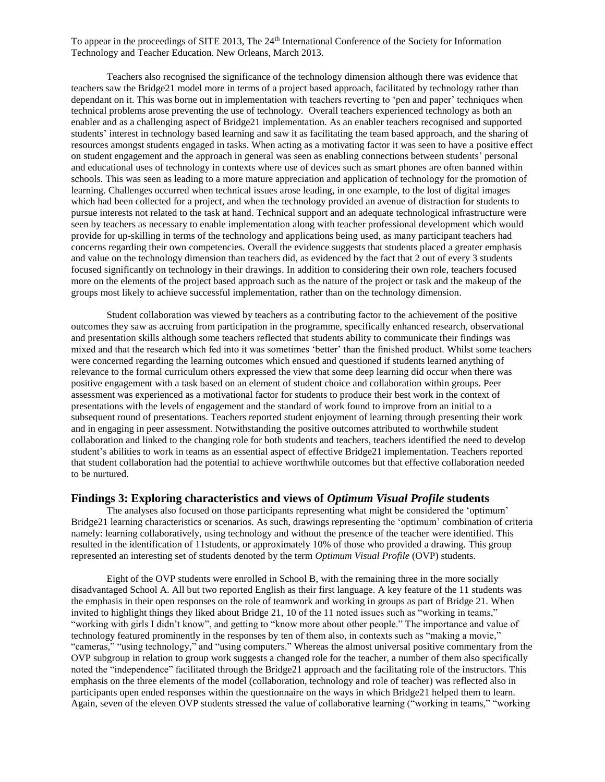Teachers also recognised the significance of the technology dimension although there was evidence that teachers saw the Bridge21 model more in terms of a project based approach, facilitated by technology rather than dependant on it. This was borne out in implementation with teachers reverting to 'pen and paper' techniques when technical problems arose preventing the use of technology. Overall teachers experienced technology as both an enabler and as a challenging aspect of Bridge21 implementation. As an enabler teachers recognised and supported students' interest in technology based learning and saw it as facilitating the team based approach, and the sharing of resources amongst students engaged in tasks. When acting as a motivating factor it was seen to have a positive effect on student engagement and the approach in general was seen as enabling connections between students' personal and educational uses of technology in contexts where use of devices such as smart phones are often banned within schools. This was seen as leading to a more mature appreciation and application of technology for the promotion of learning. Challenges occurred when technical issues arose leading, in one example, to the lost of digital images which had been collected for a project, and when the technology provided an avenue of distraction for students to pursue interests not related to the task at hand. Technical support and an adequate technological infrastructure were seen by teachers as necessary to enable implementation along with teacher professional development which would provide for up-skilling in terms of the technology and applications being used, as many participant teachers had concerns regarding their own competencies. Overall the evidence suggests that students placed a greater emphasis and value on the technology dimension than teachers did, as evidenced by the fact that 2 out of every 3 students focused significantly on technology in their drawings. In addition to considering their own role, teachers focused more on the elements of the project based approach such as the nature of the project or task and the makeup of the groups most likely to achieve successful implementation, rather than on the technology dimension.

Student collaboration was viewed by teachers as a contributing factor to the achievement of the positive outcomes they saw as accruing from participation in the programme, specifically enhanced research, observational and presentation skills although some teachers reflected that students ability to communicate their findings was mixed and that the research which fed into it was sometimes 'better' than the finished product. Whilst some teachers were concerned regarding the learning outcomes which ensued and questioned if students learned anything of relevance to the formal curriculum others expressed the view that some deep learning did occur when there was positive engagement with a task based on an element of student choice and collaboration within groups. Peer assessment was experienced as a motivational factor for students to produce their best work in the context of presentations with the levels of engagement and the standard of work found to improve from an initial to a subsequent round of presentations. Teachers reported student enjoyment of learning through presenting their work and in engaging in peer assessment. Notwithstanding the positive outcomes attributed to worthwhile student collaboration and linked to the changing role for both students and teachers, teachers identified the need to develop student's abilities to work in teams as an essential aspect of effective Bridge21 implementation. Teachers reported that student collaboration had the potential to achieve worthwhile outcomes but that effective collaboration needed to be nurtured.

# **Findings 3: Exploring characteristics and views of** *Optimum Visual Profile* **students**

The analyses also focused on those participants representing what might be considered the 'optimum' Bridge21 learning characteristics or scenarios. As such, drawings representing the 'optimum' combination of criteria namely: learning collaboratively, using technology and without the presence of the teacher were identified. This resulted in the identification of 11students, or approximately 10% of those who provided a drawing. This group represented an interesting set of students denoted by the term *Optimum Visual Profile* (OVP) students.

Eight of the OVP students were enrolled in School B, with the remaining three in the more socially disadvantaged School A. All but two reported English as their first language. A key feature of the 11 students was the emphasis in their open responses on the role of teamwork and working in groups as part of Bridge 21. When invited to highlight things they liked about Bridge 21, 10 of the 11 noted issues such as "working in teams," "working with girls I didn't know", and getting to "know more about other people." The importance and value of technology featured prominently in the responses by ten of them also, in contexts such as "making a movie," "cameras," "using technology," and "using computers." Whereas the almost universal positive commentary from the OVP subgroup in relation to group work suggests a changed role for the teacher, a number of them also specifically noted the "independence" facilitated through the Bridge21 approach and the facilitating role of the instructors. This emphasis on the three elements of the model (collaboration, technology and role of teacher) was reflected also in participants open ended responses within the questionnaire on the ways in which Bridge21 helped them to learn. Again, seven of the eleven OVP students stressed the value of collaborative learning ("working in teams," "working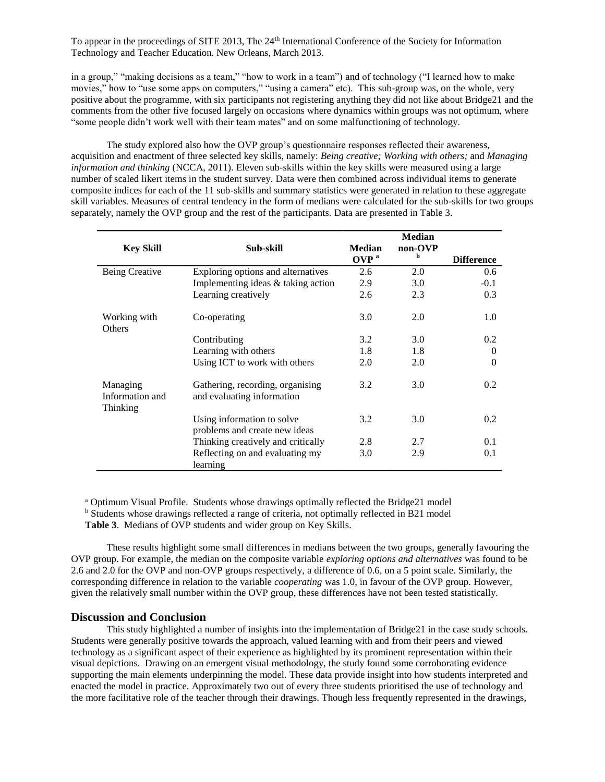in a group," "making decisions as a team," "how to work in a team") and of technology ("I learned how to make movies," how to "use some apps on computers," "using a camera" etc). This sub-group was, on the whole, very positive about the programme, with six participants not registering anything they did not like about Bridge21 and the comments from the other five focused largely on occasions where dynamics within groups was not optimum, where "some people didn't work well with their team mates" and on some malfunctioning of technology.

The study explored also how the OVP group's questionnaire responses reflected their awareness, acquisition and enactment of three selected key skills, namely: *Being creative; Working with others;* and *Managing information and thinking* (NCCA, 2011). Eleven sub-skills within the key skills were measured using a large number of scaled likert items in the student survey. Data were then combined across individual items to generate composite indices for each of the 11 sub-skills and summary statistics were generated in relation to these aggregate skill variables. Measures of central tendency in the form of medians were calculated for the sub-skills for two groups separately, namely the OVP group and the rest of the participants. Data are presented in Table 3.

| <b>Key Skill</b>                        | Sub-skill                                                      | <b>Median</b>    | <b>Median</b><br>non-OVP |                   |
|-----------------------------------------|----------------------------------------------------------------|------------------|--------------------------|-------------------|
|                                         |                                                                | OVP <sup>a</sup> | b                        | <b>Difference</b> |
| Being Creative                          | Exploring options and alternatives                             | 2.6              | 2.0                      | 0.6               |
|                                         | Implementing ideas & taking action                             | 2.9              | 3.0                      | $-0.1$            |
|                                         | Learning creatively                                            | 2.6              | 2.3                      | 0.3               |
| Working with<br>Others                  | Co-operating                                                   | 3.0              | 2.0                      | 1.0               |
|                                         | Contributing                                                   | 3.2              | 3.0                      | 0.2               |
|                                         | Learning with others                                           | 1.8              | 1.8                      | $\Omega$          |
|                                         | Using ICT to work with others                                  | 2.0              | 2.0                      | $\theta$          |
| Managing<br>Information and<br>Thinking | Gathering, recording, organising<br>and evaluating information | 3.2              | 3.0                      | $0.2^{\circ}$     |
|                                         | Using information to solve<br>problems and create new ideas    | 3.2              | 3.0                      | $0.2^{\circ}$     |
|                                         | Thinking creatively and critically                             | 2.8              | 2.7                      | 0.1               |
|                                         | Reflecting on and evaluating my<br>learning                    | 3.0              | 2.9                      | 0.1               |

<sup>a</sup> Optimum Visual Profile. Students whose drawings optimally reflected the Bridge21 model <sup>b</sup> Students whose drawings reflected a range of criteria, not optimally reflected in B21 model **Table 3**. Medians of OVP students and wider group on Key Skills.

These results highlight some small differences in medians between the two groups, generally favouring the OVP group. For example, the median on the composite variable *exploring options and alternatives* was found to be 2.6 and 2.0 for the OVP and non-OVP groups respectively, a difference of 0.6, on a 5 point scale. Similarly, the corresponding difference in relation to the variable *cooperating* was 1.0, in favour of the OVP group. However, given the relatively small number within the OVP group, these differences have not been tested statistically.

# **Discussion and Conclusion**

This study highlighted a number of insights into the implementation of Bridge21 in the case study schools. Students were generally positive towards the approach, valued learning with and from their peers and viewed technology as a significant aspect of their experience as highlighted by its prominent representation within their visual depictions. Drawing on an emergent visual methodology, the study found some corroborating evidence supporting the main elements underpinning the model. These data provide insight into how students interpreted and enacted the model in practice. Approximately two out of every three students prioritised the use of technology and the more facilitative role of the teacher through their drawings. Though less frequently represented in the drawings,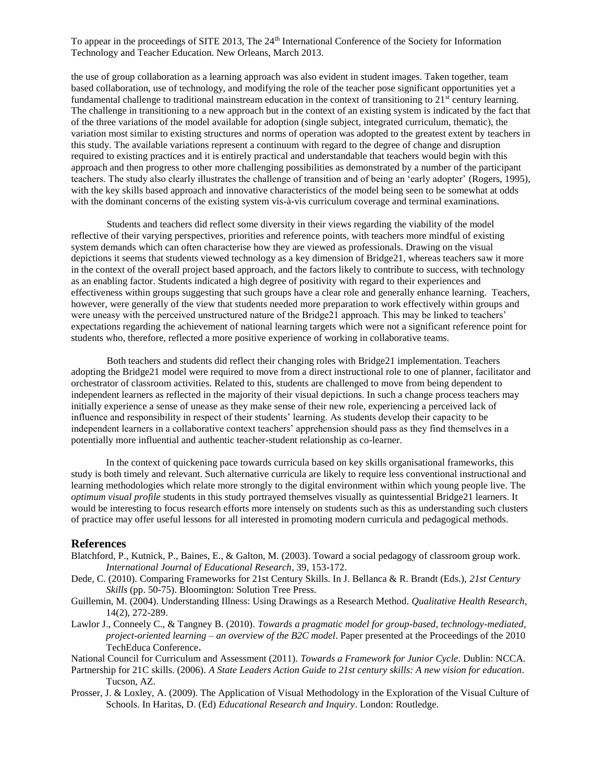the use of group collaboration as a learning approach was also evident in student images. Taken together, team based collaboration, use of technology, and modifying the role of the teacher pose significant opportunities yet a fundamental challenge to traditional mainstream education in the context of transitioning to  $21<sup>st</sup>$  century learning. The challenge in transitioning to a new approach but in the context of an existing system is indicated by the fact that of the three variations of the model available for adoption (single subject, integrated curriculum, thematic), the variation most similar to existing structures and norms of operation was adopted to the greatest extent by teachers in this study. The available variations represent a continuum with regard to the degree of change and disruption required to existing practices and it is entirely practical and understandable that teachers would begin with this approach and then progress to other more challenging possibilities as demonstrated by a number of the participant teachers. The study also clearly illustrates the challenge of transition and of being an 'early adopter' (Rogers, 1995), with the key skills based approach and innovative characteristics of the model being seen to be somewhat at odds with the dominant concerns of the existing system vis-à-vis curriculum coverage and terminal examinations.

Students and teachers did reflect some diversity in their views regarding the viability of the model reflective of their varying perspectives, priorities and reference points, with teachers more mindful of existing system demands which can often characterise how they are viewed as professionals. Drawing on the visual depictions it seems that students viewed technology as a key dimension of Bridge21, whereas teachers saw it more in the context of the overall project based approach, and the factors likely to contribute to success, with technology as an enabling factor. Students indicated a high degree of positivity with regard to their experiences and effectiveness within groups suggesting that such groups have a clear role and generally enhance learning. Teachers, however, were generally of the view that students needed more preparation to work effectively within groups and were uneasy with the perceived unstructured nature of the Bridge21 approach. This may be linked to teachers' expectations regarding the achievement of national learning targets which were not a significant reference point for students who, therefore, reflected a more positive experience of working in collaborative teams.

Both teachers and students did reflect their changing roles with Bridge21 implementation. Teachers adopting the Bridge21 model were required to move from a direct instructional role to one of planner, facilitator and orchestrator of classroom activities. Related to this, students are challenged to move from being dependent to independent learners as reflected in the majority of their visual depictions. In such a change process teachers may initially experience a sense of unease as they make sense of their new role, experiencing a perceived lack of influence and responsibility in respect of their students' learning. As students develop their capacity to be independent learners in a collaborative context teachers' apprehension should pass as they find themselves in a potentially more influential and authentic teacher-student relationship as co-learner.

In the context of quickening pace towards curricula based on key skills organisational frameworks, this study is both timely and relevant. Such alternative curricula are likely to require less conventional instructional and learning methodologies which relate more strongly to the digital environment within which young people live. The *optimum visual profile* students in this study portrayed themselves visually as quintessential Bridge21 learners. It would be interesting to focus research efforts more intensely on students such as this as understanding such clusters of practice may offer useful lessons for all interested in promoting modern curricula and pedagogical methods.

# **References**

- Blatchford, P., Kutnick, P., Baines, E., & Galton, M. (2003). Toward a social pedagogy of classroom group work. *International Journal of Educational Research*, 39, 153-172.
- Dede, C. (2010). Comparing Frameworks for 21st Century Skills. In J. Bellanca & R. Brandt (Eds.), *21st Century Skills* (pp. 50-75). Bloomington: Solution Tree Press.
- Guillemin, M. (2004). Understanding Illness: Using Drawings as a Research Method. *Qualitative Health Research*, 14(2), 272-289.
- Lawlor J., Conneely C., & Tangney B. (2010). *Towards a pragmatic model for group-based, technology-mediated, project-oriented learning – an overview of the B2C model*. Paper presented at the Proceedings of the 2010 TechEduca Conference.

National Council for Curriculum and Assessment (2011). *Towards a Framework for Junior Cycle*. Dublin: NCCA.

- Partnership for 21C skills. (2006). *A State Leaders Action Guide to 21st century skills: A new vision for education*. Tucson, AZ.
- Prosser, J. & Loxley, A. (2009). The Application of Visual Methodology in the Exploration of the Visual Culture of Schools. In Haritas, D. (Ed) *Educational Research and Inquiry*. London: Routledge.